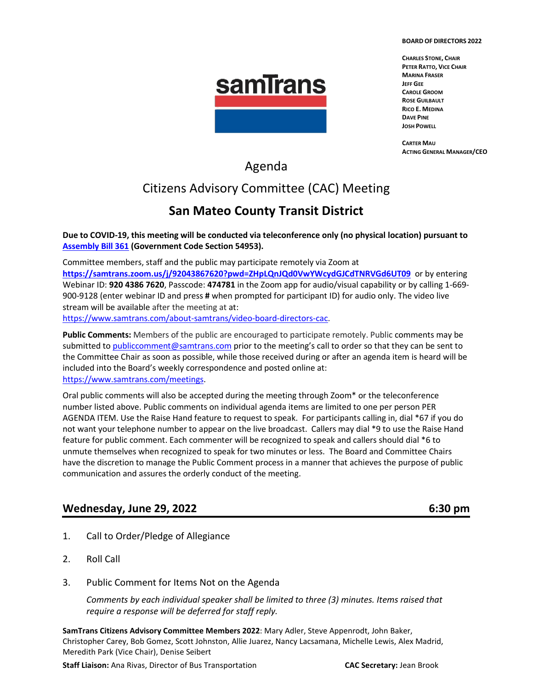#### **BOARD OF DIRECTORS 2022**



**CHARLES STONE, CHAIR PETER RATTO, VICE CHAIR MARINA FRASER JEFF GEE CAROLE GROOM ROSE GUILBAULT RICO E. MEDINA DAVE PINE JOSH POWELL**

**CARTER MAU ACTING GENERAL MANAGER/CEO**

## Agenda

## Citizens Advisory Committee (CAC) Meeting

## **San Mateo County Transit District**

**Due to COVID-19, this meeting will be conducted via teleconference only (no physical location) pursuant to [Assembly Bill 361](https://leginfo.legislature.ca.gov/faces/billNavClient.xhtml?bill_id=202120220AB361) (Government Code Section 54953).**

Committee members, staff and the public may participate remotely via Zoom at **<https://samtrans.zoom.us/j/92043867620?pwd=ZHpLQnJQd0VwYWcydGJCdTNRVGd6UT09>**or by entering Webinar ID: **920 4386 7620**, Passcode: **474781** in the Zoom app for audio/visual capability or by calling 1-669- 900-9128 (enter webinar ID and press **#** when prompted for participant ID) for audio only. The video live stream will be available after the meeting at at: [https://www.samtrans.com/about-samtrans/video-board-directors-cac.](https://www.samtrans.com/about-samtrans/video-board-directors-cac)

**Public Comments:** Members of the public are encouraged to participate remotely. Public comments may be

submitted t[o publiccomment@samtrans.com](mailto:publiccomment@samtrans.com) prior to the meeting's call to order so that they can be sent to the Committee Chair as soon as possible, while those received during or after an agenda item is heard will be included into the Board's weekly correspondence and posted online at: [https://www.samtrans.com/meetings.](https://www.samtrans.com/meetings)

Oral public comments will also be accepted during the meeting through Zoom\* or the teleconference number listed above. Public comments on individual agenda items are limited to one per person PER AGENDA ITEM. Use the Raise Hand feature to request to speak. For participants calling in, dial \*67 if you do not want your telephone number to appear on the live broadcast. Callers may dial \*9 to use the Raise Hand feature for public comment. Each commenter will be recognized to speak and callers should dial \*6 to unmute themselves when recognized to speak for two minutes or less. The Board and Committee Chairs have the discretion to manage the Public Comment process in a manner that achieves the purpose of public communication and assures the orderly conduct of the meeting.

### **Wednesday, June 29, 2022 6:30 pm**

- 1. Call to Order/Pledge of Allegiance
- 2. Roll Call
- 3. Public Comment for Items Not on the Agenda

*Comments by each individual speaker shall be limited to three (3) minutes. Items raised that require a response will be deferred for staff reply.*

**SamTrans Citizens Advisory Committee Members 2022**: Mary Adler, Steve Appenrodt, John Baker, Christopher Carey, Bob Gomez, Scott Johnston, Allie Juarez, Nancy Lacsamana, Michelle Lewis, Alex Madrid, Meredith Park (Vice Chair), Denise Seibert

**Staff Liaison:** Ana Rivas, Director of Bus Transportation **CAC Secretary:** Jean Brook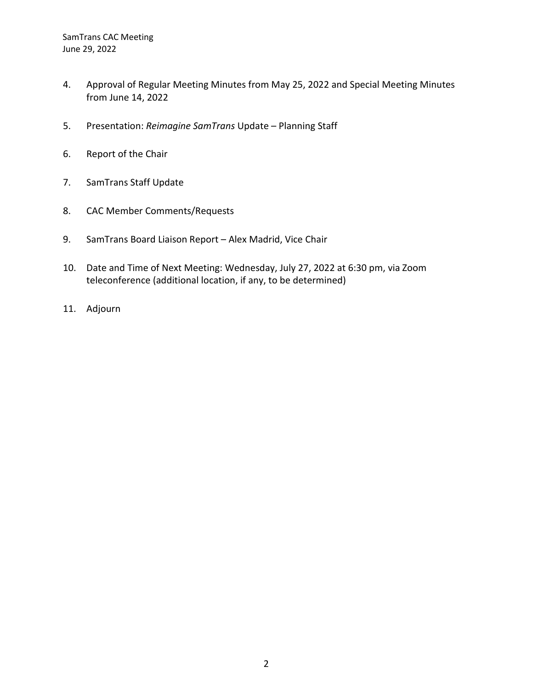- 4. Approval of Regular Meeting Minutes from May 25, 2022 and Special Meeting Minutes from June 14, 2022
- 5. Presentation: *Reimagine SamTrans* Update Planning Staff
- 6. Report of the Chair
- 7. SamTrans Staff Update
- 8. CAC Member Comments/Requests
- 9. SamTrans Board Liaison Report Alex Madrid, Vice Chair
- 10. Date and Time of Next Meeting: Wednesday, July 27, 2022 at 6:30 pm, via Zoom teleconference (additional location, if any, to be determined)
- 11. Adjourn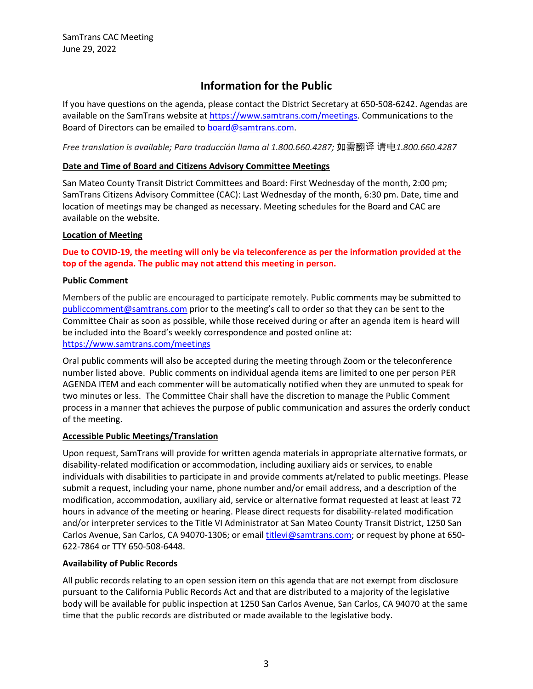### **Information for the Public**

If you have questions on the agenda, please contact the District Secretary at 650-508-6242. Agendas are available on the SamTrans website at [https://www.samtrans.com/meetings.](https://www.samtrans.com/meetings) Communications to the Board of Directors can be emailed to [board@samtrans.com.](mailto:board@samtrans.com)

*Free translation is available; Para traducción llama al 1.800.660.4287;* 如需翻译 请电*1.800.660.4287*

#### **Date and Time of Board and Citizens Advisory Committee Meetings**

San Mateo County Transit District Committees and Board: First Wednesday of the month, 2:00 pm; SamTrans Citizens Advisory Committee (CAC): Last Wednesday of the month, 6:30 pm. Date, time and location of meetings may be changed as necessary. Meeting schedules for the Board and CAC are available on the website.

#### **Location of Meeting**

#### **Due to COVID-19, the meeting will only be via teleconference as per the information provided at the top of the agenda. The public may not attend this meeting in person.**

#### **Public Comment**

Members of the public are encouraged to participate remotely. Public comments may be submitted to [publiccomment@samtrans.com](mailto:publiccomment@samtrans.com) prior to the meeting's call to order so that they can be sent to the Committee Chair as soon as possible, while those received during or after an agenda item is heard will be included into the Board's weekly correspondence and posted online at: <https://www.samtrans.com/meetings>

Oral public comments will also be accepted during the meeting through Zoom or the teleconference number listed above. Public comments on individual agenda items are limited to one per person PER AGENDA ITEM and each commenter will be automatically notified when they are unmuted to speak for two minutes or less. The Committee Chair shall have the discretion to manage the Public Comment process in a manner that achieves the purpose of public communication and assures the orderly conduct of the meeting.

#### **Accessible Public Meetings/Translation**

Upon request, SamTrans will provide for written agenda materials in appropriate alternative formats, or disability-related modification or accommodation, including auxiliary aids or services, to enable individuals with disabilities to participate in and provide comments at/related to public meetings. Please submit a request, including your name, phone number and/or email address, and a description of the modification, accommodation, auxiliary aid, service or alternative format requested at least at least 72 hours in advance of the meeting or hearing. Please direct requests for disability-related modification and/or interpreter services to the Title VI Administrator at San Mateo County Transit District, 1250 San Carlos Avenue, San Carlos, CA 94070-1306; or emai[l titlevi@samtrans.com;](mailto:titlevi@samtrans.com) or request by phone at 650-622-7864 or TTY 650-508-6448.

#### **Availability of Public Records**

All public records relating to an open session item on this agenda that are not exempt from disclosure pursuant to the California Public Records Act and that are distributed to a majority of the legislative body will be available for public inspection at 1250 San Carlos Avenue, San Carlos, CA 94070 at the same time that the public records are distributed or made available to the legislative body.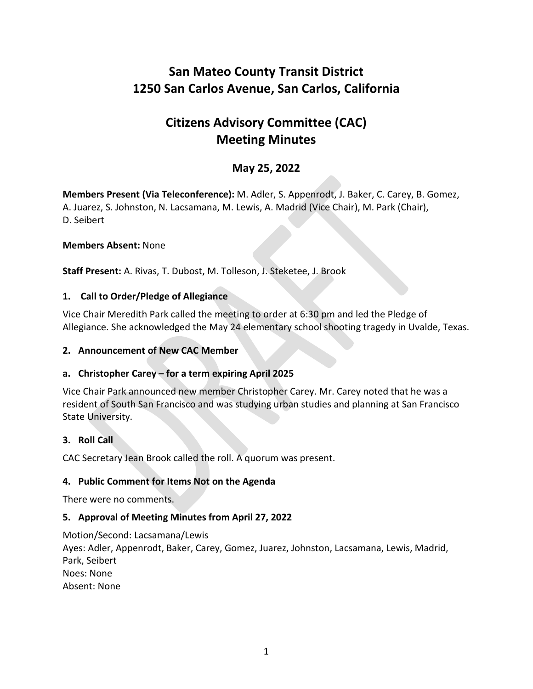## **San Mateo County Transit District 1250 San Carlos Avenue, San Carlos, California**

# **Citizens Advisory Committee (CAC) Meeting Minutes**

### **May 25, 2022**

**Members Present (Via Teleconference):** M. Adler, S. Appenrodt, J. Baker, C. Carey, B. Gomez, A. Juarez, S. Johnston, N. Lacsamana, M. Lewis, A. Madrid (Vice Chair), M. Park (Chair), D. Seibert

#### **Members Absent:** None

**Staff Present:** A. Rivas, T. Dubost, M. Tolleson, J. Steketee, J. Brook

#### **1. Call to Order/Pledge of Allegiance**

Vice Chair Meredith Park called the meeting to order at 6:30 pm and led the Pledge of Allegiance. She acknowledged the May 24 elementary school shooting tragedy in Uvalde, Texas.

#### **2. Announcement of New CAC Member**

#### **a. Christopher Carey – for a term expiring April 2025**

Vice Chair Park announced new member Christopher Carey. Mr. Carey noted that he was a resident of South San Francisco and was studying urban studies and planning at San Francisco State University.

#### **3. Roll Call**

CAC Secretary Jean Brook called the roll. A quorum was present.

#### **4. Public Comment for Items Not on the Agenda**

There were no comments.

#### **5. Approval of Meeting Minutes from April 27, 2022**

Motion/Second: Lacsamana/Lewis Ayes: Adler, Appenrodt, Baker, Carey, Gomez, Juarez, Johnston, Lacsamana, Lewis, Madrid, Park, Seibert Noes: None Absent: None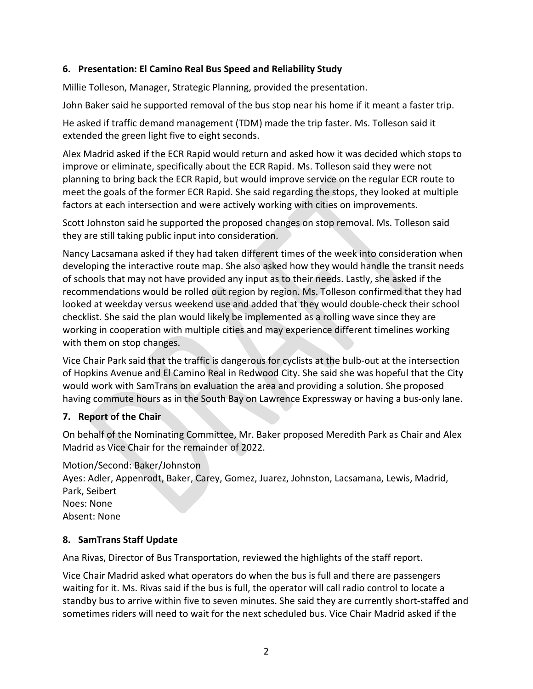#### **6. Presentation: El Camino Real Bus Speed and Reliability Study**

Millie Tolleson, Manager, Strategic Planning, provided the presentation.

John Baker said he supported removal of the bus stop near his home if it meant a faster trip.

He asked if traffic demand management (TDM) made the trip faster. Ms. Tolleson said it extended the green light five to eight seconds.

Alex Madrid asked if the ECR Rapid would return and asked how it was decided which stops to improve or eliminate, specifically about the ECR Rapid. Ms. Tolleson said they were not planning to bring back the ECR Rapid, but would improve service on the regular ECR route to meet the goals of the former ECR Rapid. She said regarding the stops, they looked at multiple factors at each intersection and were actively working with cities on improvements.

Scott Johnston said he supported the proposed changes on stop removal. Ms. Tolleson said they are still taking public input into consideration.

Nancy Lacsamana asked if they had taken different times of the week into consideration when developing the interactive route map. She also asked how they would handle the transit needs of schools that may not have provided any input as to their needs. Lastly, she asked if the recommendations would be rolled out region by region. Ms. Tolleson confirmed that they had looked at weekday versus weekend use and added that they would double-check their school checklist. She said the plan would likely be implemented as a rolling wave since they are working in cooperation with multiple cities and may experience different timelines working with them on stop changes.

Vice Chair Park said that the traffic is dangerous for cyclists at the bulb-out at the intersection of Hopkins Avenue and El Camino Real in Redwood City. She said she was hopeful that the City would work with SamTrans on evaluation the area and providing a solution. She proposed having commute hours as in the South Bay on Lawrence Expressway or having a bus-only lane.

### **7. Report of the Chair**

On behalf of the Nominating Committee, Mr. Baker proposed Meredith Park as Chair and Alex Madrid as Vice Chair for the remainder of 2022.

Motion/Second: Baker/Johnston Ayes: Adler, Appenrodt, Baker, Carey, Gomez, Juarez, Johnston, Lacsamana, Lewis, Madrid, Park, Seibert Noes: None Absent: None

#### **8. SamTrans Staff Update**

Ana Rivas, Director of Bus Transportation, reviewed the highlights of the staff report.

Vice Chair Madrid asked what operators do when the bus is full and there are passengers waiting for it. Ms. Rivas said if the bus is full, the operator will call radio control to locate a standby bus to arrive within five to seven minutes. She said they are currently short-staffed and sometimes riders will need to wait for the next scheduled bus. Vice Chair Madrid asked if the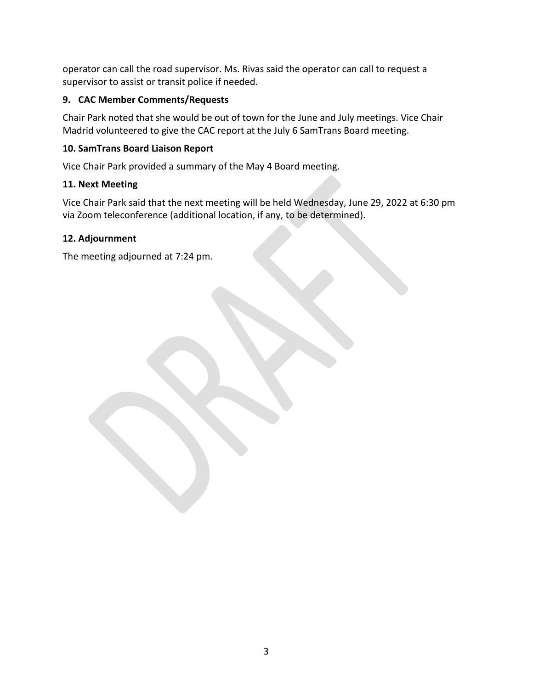operator can call the road supervisor. Ms. Rivas said the operator can call to request a supervisor to assist or transit police if needed.

#### **9. CAC Member Comments/Requests**

Chair Park noted that she would be out of town for the June and July meetings. Vice Chair Madrid volunteered to give the CAC report at the July 6 SamTrans Board meeting.

#### **10. SamTrans Board Liaison Report**

Vice Chair Park provided a summary of the May 4 Board meeting.

#### **11. Next Meeting**

Vice Chair Park said that the next meeting will be held Wednesday, June 29, 2022 at 6:30 pm via Zoom teleconference (additional location, if any, to be determined).

### **12. Adjournment**

The meeting adjourned at 7:24 pm.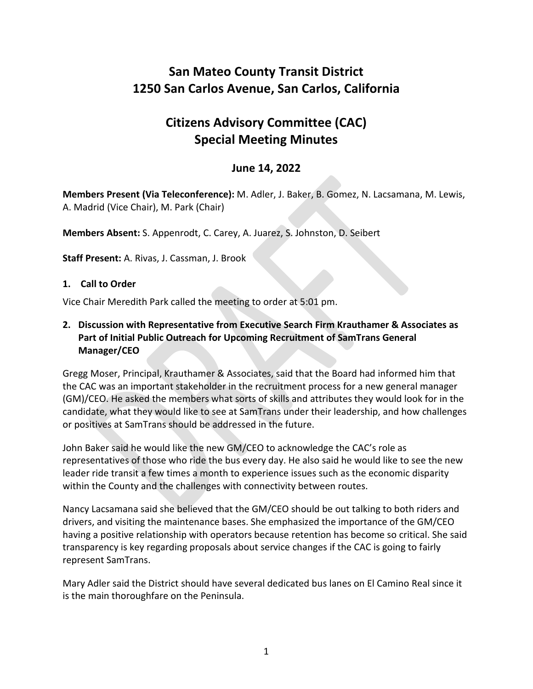## **San Mateo County Transit District 1250 San Carlos Avenue, San Carlos, California**

# **Citizens Advisory Committee (CAC) Special Meeting Minutes**

### **June 14, 2022**

**Members Present (Via Teleconference):** M. Adler, J. Baker, B. Gomez, N. Lacsamana, M. Lewis, A. Madrid (Vice Chair), M. Park (Chair)

**Members Absent:** S. Appenrodt, C. Carey, A. Juarez, S. Johnston, D. Seibert

**Staff Present:** A. Rivas, J. Cassman, J. Brook

#### **1. Call to Order**

Vice Chair Meredith Park called the meeting to order at 5:01 pm.

**2. Discussion with Representative from Executive Search Firm Krauthamer & Associates as Part of Initial Public Outreach for Upcoming Recruitment of SamTrans General Manager/CEO**

Gregg Moser, Principal, Krauthamer & Associates, said that the Board had informed him that the CAC was an important stakeholder in the recruitment process for a new general manager (GM)/CEO. He asked the members what sorts of skills and attributes they would look for in the candidate, what they would like to see at SamTrans under their leadership, and how challenges or positives at SamTrans should be addressed in the future.

John Baker said he would like the new GM/CEO to acknowledge the CAC's role as representatives of those who ride the bus every day. He also said he would like to see the new leader ride transit a few times a month to experience issues such as the economic disparity within the County and the challenges with connectivity between routes.

Nancy Lacsamana said she believed that the GM/CEO should be out talking to both riders and drivers, and visiting the maintenance bases. She emphasized the importance of the GM/CEO having a positive relationship with operators because retention has become so critical. She said transparency is key regarding proposals about service changes if the CAC is going to fairly represent SamTrans.

Mary Adler said the District should have several dedicated bus lanes on El Camino Real since it is the main thoroughfare on the Peninsula.